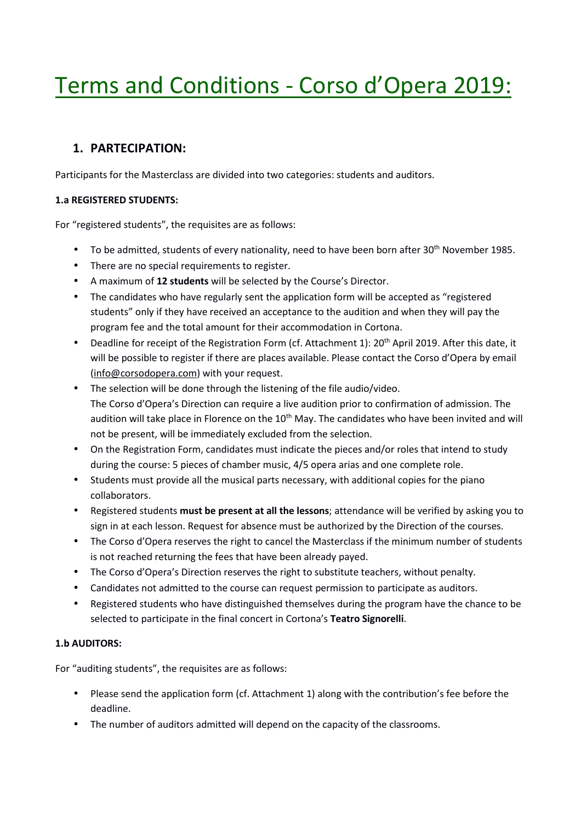# Terms and Conditions - Corso d'Opera 2019:

## **1. PARTECIPATION:**

Participants for the Masterclass are divided into two categories: students and auditors.

## **1.a REGISTERED STUDENTS:**

For "registered students", the requisites are as follows:

- To be admitted, students of every nationality, need to have been born after 30<sup>th</sup> November 1985.
- There are no special requirements to register.
- A maximum of **12 students** will be selected by the Course's Director.
- The candidates who have regularly sent the application form will be accepted as "registered students" only if they have received an acceptance to the audition and when they will pay the program fee and the total amount for their accommodation in Cortona.
- Deadline for receipt of the Registration Form (cf. Attachment 1): 20<sup>th</sup> April 2019. After this date, it will be possible to register if there are places available. Please contact the Corso d'Opera by email (info@corsodopera.com) with your request.
- The selection will be done through the listening of the file audio/video. The Corso d'Opera's Direction can require a live audition prior to confirmation of admission. The audition will take place in Florence on the  $10<sup>th</sup>$  May. The candidates who have been invited and will not be present, will be immediately excluded from the selection.
- On the Registration Form, candidates must indicate the pieces and/or roles that intend to study during the course: 5 pieces of chamber music, 4/5 opera arias and one complete role.
- Students must provide all the musical parts necessary, with additional copies for the piano collaborators.
- Registered students **must be present at all the lessons**; attendance will be verified by asking you to sign in at each lesson. Request for absence must be authorized by the Direction of the courses.
- The Corso d'Opera reserves the right to cancel the Masterclass if the minimum number of students is not reached returning the fees that have been already payed.
- The Corso d'Opera's Direction reserves the right to substitute teachers, without penalty.
- Candidates not admitted to the course can request permission to participate as auditors.
- Registered students who have distinguished themselves during the program have the chance to be selected to participate in the final concert in Cortona's **Teatro Signorelli**.

## **1.b AUDITORS:**

For "auditing students", the requisites are as follows:

- Please send the application form (cf. Attachment 1) along with the contribution's fee before the deadline.
- The number of auditors admitted will depend on the capacity of the classrooms.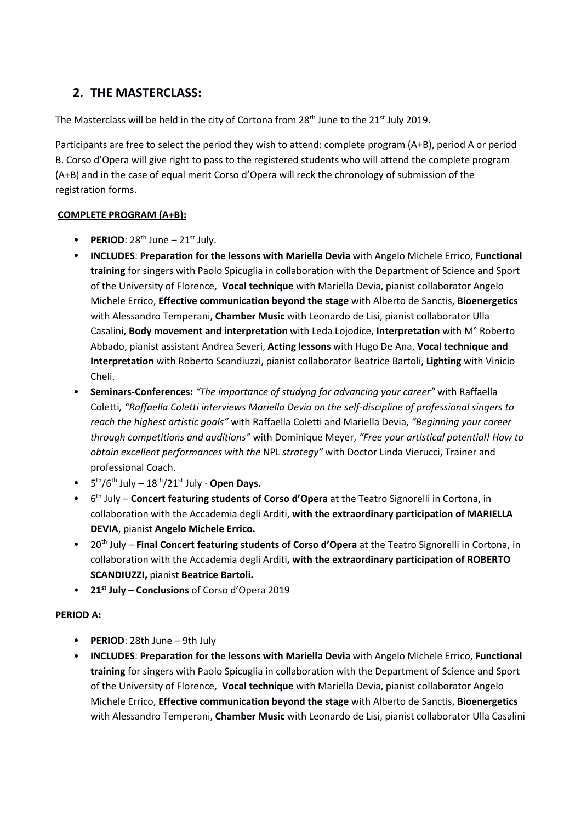## **2. THE MASTERCLASS:**

The Masterclass will be held in the city of Cortona from 28<sup>th</sup> June to the 21<sup>st</sup> July 2019.

Participants are free to select the period they wish to attend: complete program (A+B), period A or period B. Corso d'Opera will give right to pass to the registered students who will attend the complete program (A+B) and in the case of equal merit Corso d'Opera will reck the chronology of submission of the registration forms.

## **COMPLETE PROGRAM (A+B):**

- **• PERIOD**:  $28^{th}$  June  $21^{st}$  July.
- **INCLUDES**: **Preparation for the lessons with Mariella Devia** with Angelo Michele Errico, **Functional training** for singers with Paolo Spicuglia in collaboration with the Department of Science and Sport of the University of Florence, **Vocal technique** with Mariella Devia, pianist collaborator Angelo Michele Errico, **Effective communication beyond the stage** with Alberto de Sanctis, **Bioenergetics** with Alessandro Temperani, **Chamber Music** with Leonardo de Lisi, pianist collaborator Ulla Casalini, **Body movement and interpretation** with Leda Lojodice, **Interpretation** with M° Roberto Abbado, pianist assistant Andrea Severi, **Acting lessons** with Hugo De Ana, **Vocal technique and Interpretation** with Roberto Scandiuzzi, pianist collaborator Beatrice Bartoli, **Lighting** with Vinicio Cheli.
- **Seminars-Conferences:** *"The importance of studyng for advancing your career"* with Raffaella Coletti*, "Raffaella Coletti interviews Mariella Devia on the self-discipline of professional singers to reach the highest artistic goals"* with Raffaella Coletti and Mariella Devia, *"Beginning your career through competitions and auditions"* with Dominique Meyer, *"Free your artistical potential! How to obtain excellent performances with the* NPL *strategy"* with Doctor Linda Vierucci, Trainer and professional Coach.
- $\bullet$  5<sup>th</sup>/6<sup>th</sup> July 18<sup>th</sup>/21<sup>st</sup> July **Open Days.**
- 6 th July **Concert featuring students of Corso d'Opera** at the Teatro Signorelli in Cortona, in collaboration with the Accademia degli Arditi, **with the extraordinary participation of MARIELLA DEVIA**, pianist **Angelo Michele Errico.**
- 20th July **Final Concert featuring students of Corso d'Opera** at the Teatro Signorelli in Cortona, in collaboration with the Accademia degli Arditi**, with the extraordinary participation of ROBERTO SCANDIUZZI,** pianist **Beatrice Bartoli.**
- **21st July Conclusions** of Corso d'Opera 2019

## **PERIOD A:**

- **PERIOD**: 28th June 9th July
- **INCLUDES**: **Preparation for the lessons with Mariella Devia** with Angelo Michele Errico, **Functional training** for singers with Paolo Spicuglia in collaboration with the Department of Science and Sport of the University of Florence, **Vocal technique** with Mariella Devia, pianist collaborator Angelo Michele Errico, **Effective communication beyond the stage** with Alberto de Sanctis, **Bioenergetics** with Alessandro Temperani, **Chamber Music** with Leonardo de Lisi, pianist collaborator Ulla Casalini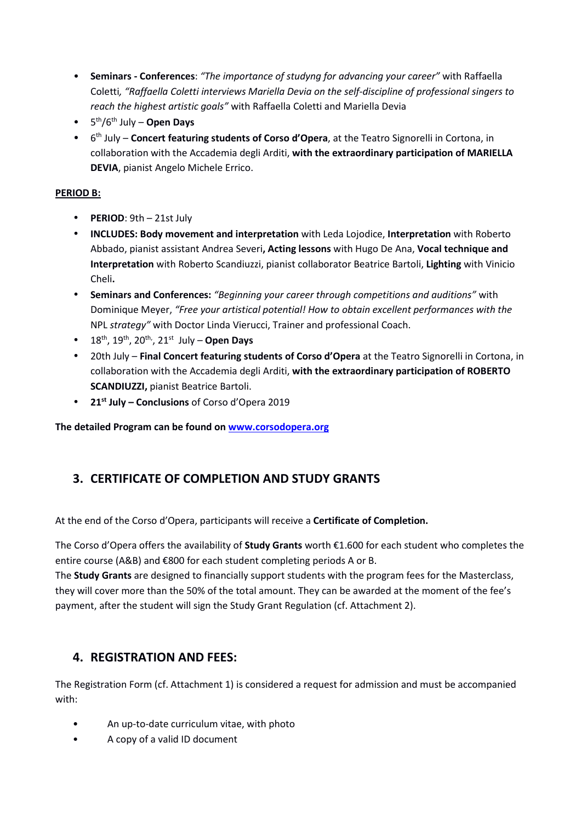- **Seminars Conferences**: *"The importance of studyng for advancing your career"* with Raffaella Coletti*, "Raffaella Coletti interviews Mariella Devia on the self-discipline of professional singers to reach the highest artistic goals"* with Raffaella Coletti and Mariella Devia
- 5 th/6th July **Open Days**
- 6 th July **Concert featuring students of Corso d'Opera**, at the Teatro Signorelli in Cortona, in collaboration with the Accademia degli Arditi, **with the extraordinary participation of MARIELLA DEVIA**, pianist Angelo Michele Errico.

## **PERIOD B:**

- **PERIOD**: 9th 21st July
- **INCLUDES: Body movement and interpretation** with Leda Lojodice, **Interpretation** with Roberto Abbado, pianist assistant Andrea Severi**, Acting lessons** with Hugo De Ana, **Vocal technique and Interpretation** with Roberto Scandiuzzi, pianist collaborator Beatrice Bartoli, **Lighting** with Vinicio Cheli**.**
- **Seminars and Conferences:** *"Beginning your career through competitions and auditions"* with Dominique Meyer, *"Free your artistical potential! How to obtain excellent performances with the*  NPL *strategy"* with Doctor Linda Vierucci, Trainer and professional Coach.
- $\bullet$  18<sup>th</sup>, 19<sup>th</sup>, 20<sup>th</sup>, 21<sup>st</sup> July Open Days
- 20th July **Final Concert featuring students of Corso d'Opera** at the Teatro Signorelli in Cortona, in collaboration with the Accademia degli Arditi, **with the extraordinary participation of ROBERTO SCANDIUZZI,** pianist Beatrice Bartoli.
- **21st July Conclusions** of Corso d'Opera 2019

**The detailed Program can be found on www.corsodopera.org** 

## **3. CERTIFICATE OF COMPLETION AND STUDY GRANTS**

At the end of the Corso d'Opera, participants will receive a **Certificate of Completion.**

The Corso d'Opera offers the availability of **Study Grants** worth €1.600 for each student who completes the entire course (A&B) and €800 for each student completing periods A or B.

The **Study Grants** are designed to financially support students with the program fees for the Masterclass, they will cover more than the 50% of the total amount. They can be awarded at the moment of the fee's payment, after the student will sign the Study Grant Regulation (cf. Attachment 2).

## **4. REGISTRATION AND FEES:**

The Registration Form (cf. Attachment 1) is considered a request for admission and must be accompanied with:

- An up-to-date curriculum vitae, with photo
- A copy of a valid ID document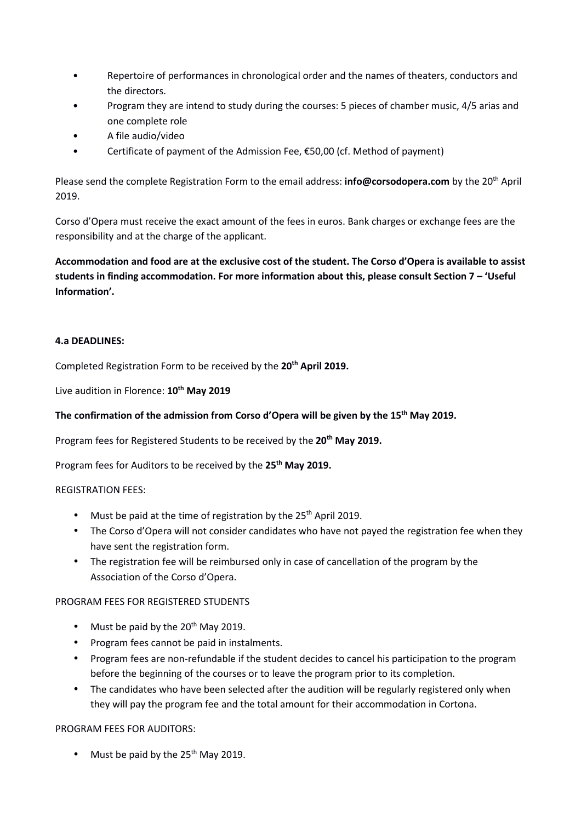- Repertoire of performances in chronological order and the names of theaters, conductors and the directors.
- Program they are intend to study during the courses: 5 pieces of chamber music, 4/5 arias and one complete role
- A file audio/video
- Certificate of payment of the Admission Fee, €50,00 (cf. Method of payment)

Please send the complete Registration Form to the email address: **info@corsodopera.com** by the 20th April 2019.

Corso d'Opera must receive the exact amount of the fees in euros. Bank charges or exchange fees are the responsibility and at the charge of the applicant.

**Accommodation and food are at the exclusive cost of the student. The Corso d'Opera is available to assist students in finding accommodation. For more information about this, please consult Section 7 – 'Useful Information'.** 

#### **4.a DEADLINES:**

Completed Registration Form to be received by the **20th April 2019.** 

Live audition in Florence: **10th May 2019**

#### **The confirmation of the admission from Corso d'Opera will be given by the 15th May 2019.**

Program fees for Registered Students to be received by the **20th May 2019.**

Program fees for Auditors to be received by the **25th May 2019.**

#### REGISTRATION FEES:

- Must be paid at the time of registration by the  $25<sup>th</sup>$  April 2019.
- The Corso d'Opera will not consider candidates who have not payed the registration fee when they have sent the registration form.
- The registration fee will be reimbursed only in case of cancellation of the program by the Association of the Corso d'Opera.

#### PROGRAM FEES FOR REGISTERED STUDENTS

- Must be paid by the  $20^{th}$  May 2019.
- Program fees cannot be paid in instalments.
- Program fees are non-refundable if the student decides to cancel his participation to the program before the beginning of the courses or to leave the program prior to its completion.
- The candidates who have been selected after the audition will be regularly registered only when they will pay the program fee and the total amount for their accommodation in Cortona.

#### PROGRAM FEES FOR AUDITORS:

• Must be paid by the  $25<sup>th</sup>$  May 2019.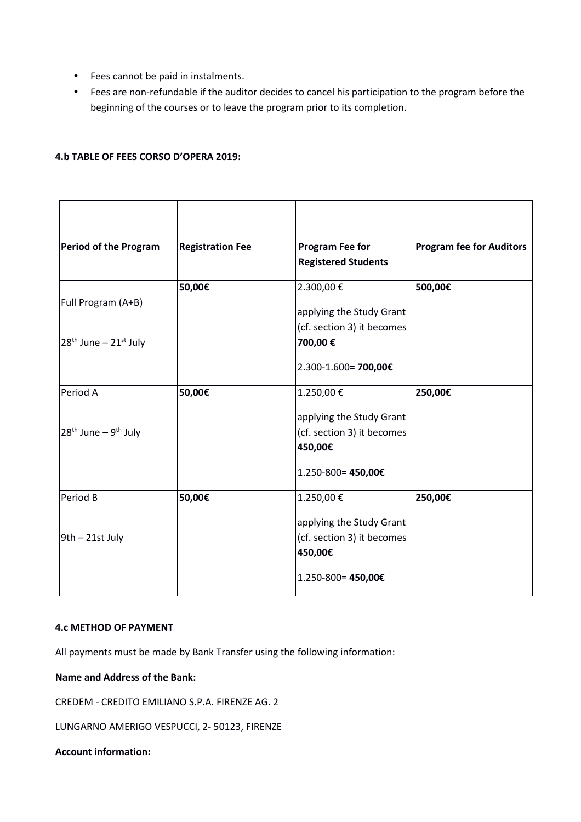- Fees cannot be paid in instalments.
- Fees are non-refundable if the auditor decides to cancel his participation to the program before the beginning of the courses or to leave the program prior to its completion.

#### **4.b TABLE OF FEES CORSO D'OPERA 2019:**

| Period of the Program              | <b>Registration Fee</b> | <b>Program Fee for</b><br><b>Registered Students</b>          | <b>Program fee for Auditors</b> |
|------------------------------------|-------------------------|---------------------------------------------------------------|---------------------------------|
| Full Program (A+B)                 | 50,00€                  | 2.300,00€<br>applying the Study Grant                         | 500,00€                         |
| $28th$ June – $21st$ July          |                         | (cf. section 3) it becomes<br>700,00€<br>2.300-1.600= 700,00€ |                                 |
| Period A                           | 50,00€                  | 1.250,00€<br>applying the Study Grant                         | 250,00€                         |
| $28th$ June – 9 <sup>th</sup> July |                         | (cf. section 3) it becomes<br>450,00€<br>1.250-800=450,00€    |                                 |
| Period B                           | 50,00€                  | 1.250,00€<br>applying the Study Grant                         | 250,00€                         |
| 9th - 21st July                    |                         | (cf. section 3) it becomes<br>450,00€                         |                                 |
|                                    |                         | 1.250-800= 450,00€                                            |                                 |

#### **4.c METHOD OF PAYMENT**

All payments must be made by Bank Transfer using the following information:

#### **Name and Address of the Bank:**

CREDEM - CREDITO EMILIANO S.P.A. FIRENZE AG. 2

LUNGARNO AMERIGO VESPUCCI, 2- 50123, FIRENZE

#### **Account information:**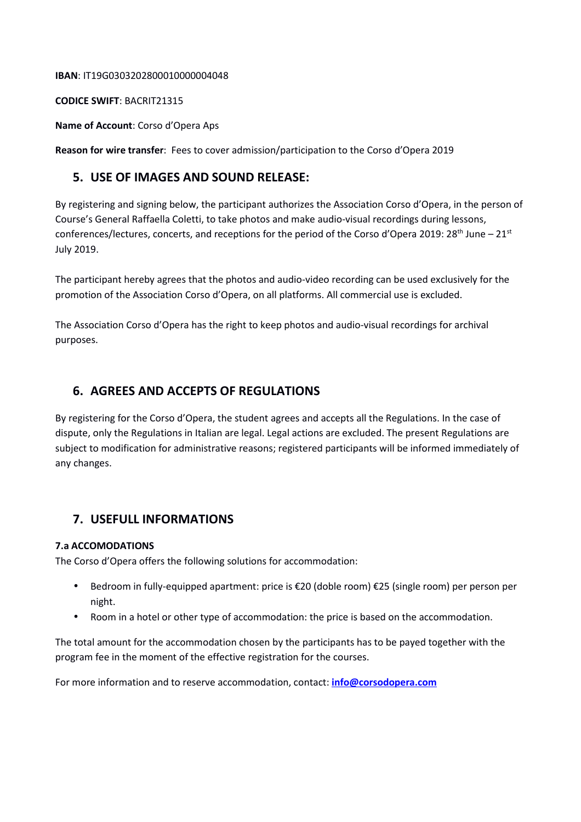#### **IBAN**: IT19G0303202800010000004048

#### **CODICE SWIFT**: BACRIT21315

**Name of Account**: Corso d'Opera Aps

**Reason for wire transfer**: Fees to cover admission/participation to the Corso d'Opera 2019

## **5. USE OF IMAGES AND SOUND RELEASE:**

By registering and signing below, the participant authorizes the Association Corso d'Opera, in the person of Course's General Raffaella Coletti, to take photos and make audio-visual recordings during lessons, conferences/lectures, concerts, and receptions for the period of the Corso d'Opera 2019: 28<sup>th</sup> June – 21<sup>st</sup> July 2019.

The participant hereby agrees that the photos and audio-video recording can be used exclusively for the promotion of the Association Corso d'Opera, on all platforms. All commercial use is excluded.

The Association Corso d'Opera has the right to keep photos and audio-visual recordings for archival purposes.

## **6. AGREES AND ACCEPTS OF REGULATIONS**

By registering for the Corso d'Opera, the student agrees and accepts all the Regulations. In the case of dispute, only the Regulations in Italian are legal. Legal actions are excluded. The present Regulations are subject to modification for administrative reasons; registered participants will be informed immediately of any changes.

## **7. USEFULL INFORMATIONS**

#### **7.a ACCOMODATIONS**

The Corso d'Opera offers the following solutions for accommodation:

- Bedroom in fully-equipped apartment: price is €20 (doble room) €25 (single room) per person per night.
- Room in a hotel or other type of accommodation: the price is based on the accommodation.

The total amount for the accommodation chosen by the participants has to be payed together with the program fee in the moment of the effective registration for the courses.

For more information and to reserve accommodation, contact: **info@corsodopera.com**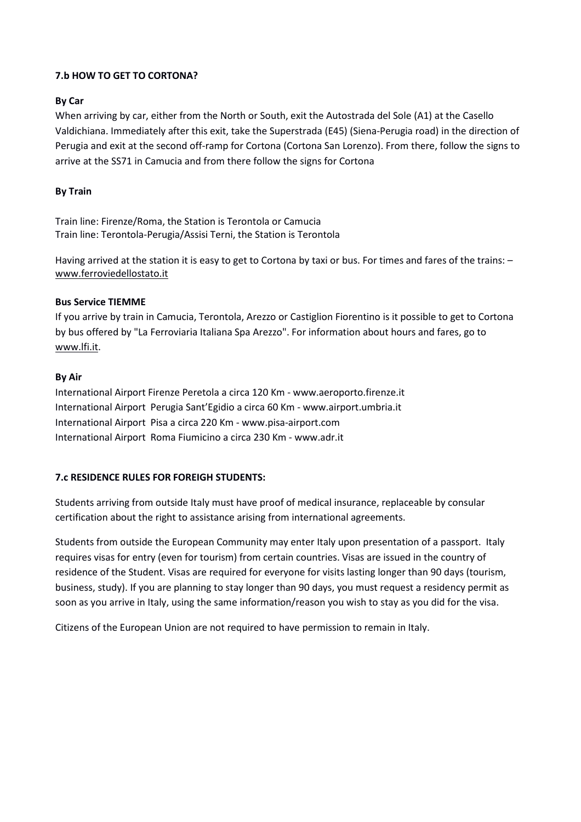## **7.b HOW TO GET TO CORTONA?**

## **By Car**

When arriving by car, either from the North or South, exit the Autostrada del Sole (A1) at the Casello Valdichiana. Immediately after this exit, take the Superstrada (E45) (Siena-Perugia road) in the direction of Perugia and exit at the second off-ramp for Cortona (Cortona San Lorenzo). From there, follow the signs to arrive at the SS71 in Camucia and from there follow the signs for Cortona

## **By Train**

Train line: Firenze/Roma, the Station is Terontola or Camucia Train line: Terontola-Perugia/Assisi Terni, the Station is Terontola

Having arrived at the station it is easy to get to Cortona by taxi or bus. For times and fares of the trains: – www.ferroviedellostato.it

## **Bus Service TIEMME**

If you arrive by train in Camucia, Terontola, Arezzo or Castiglion Fiorentino is it possible to get to Cortona by bus offered by "La Ferroviaria Italiana Spa Arezzo". For information about hours and fares, go to www.lfi.it.

## **By Air**

International Airport Firenze Peretola a circa 120 Km - www.aeroporto.firenze.it International Airport Perugia Sant'Egidio a circa 60 Km - www.airport.umbria.it International Airport Pisa a circa 220 Km - www.pisa-airport.com International Airport Roma Fiumicino a circa 230 Km - www.adr.it

## **7.c RESIDENCE RULES FOR FOREIGH STUDENTS:**

Students arriving from outside Italy must have proof of medical insurance, replaceable by consular certification about the right to assistance arising from international agreements.

Students from outside the European Community may enter Italy upon presentation of a passport. Italy requires visas for entry (even for tourism) from certain countries. Visas are issued in the country of residence of the Student. Visas are required for everyone for visits lasting longer than 90 days (tourism, business, study). If you are planning to stay longer than 90 days, you must request a residency permit as soon as you arrive in Italy, using the same information/reason you wish to stay as you did for the visa.

Citizens of the European Union are not required to have permission to remain in Italy.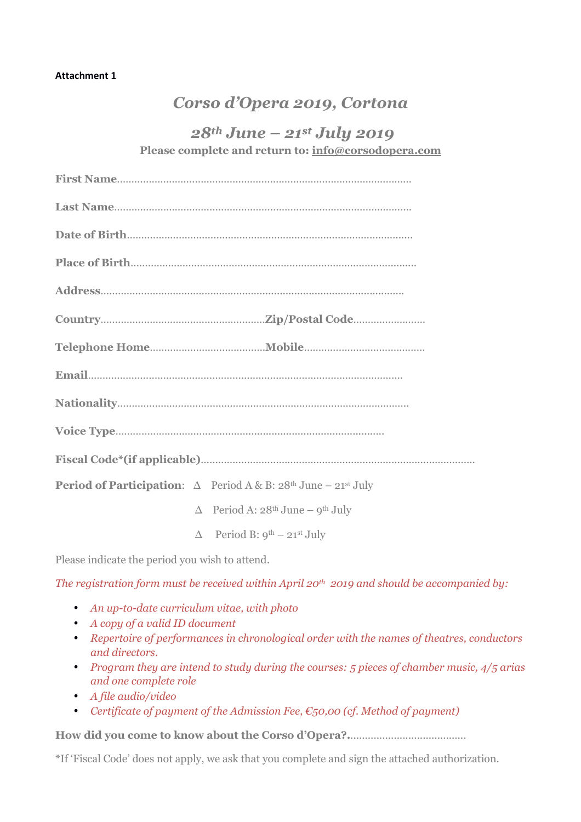## **Attachment 1**

# *Corso d'Opera 2019, Cortona*

## *28th June – 21st July 2019*

**Please complete and return to: info@corsodopera.com**

| <b>Period of Participation:</b> $\Delta$ Period A & B: $28^{\text{th}}$ June $-21^{\text{st}}$ July |
|-----------------------------------------------------------------------------------------------------|
| $\Delta$ Period A: 28 <sup>th</sup> June – 9 <sup>th</sup> July                                     |
| $\Delta$ Period B: $9^{th}$ – 21st July                                                             |

Please indicate the period you wish to attend.

*The registration form must be received within April 20th 2019 and should be accompanied by:*

- *An up-to-date curriculum vitae, with photo*
- *A copy of a valid ID document*
- *Repertoire of performances in chronological order with the names of theatres, conductors and directors.*
- *Program they are intend to study during the courses: 5 pieces of chamber music, 4/5 arias and one complete role*
- *A file audio/video*
- *Certificate of payment of the Admission Fee, €50,00 (cf. Method of payment)*

**How did you come to know about the Corso d'Opera?.**........................................

\*If 'Fiscal Code' does not apply, we ask that you complete and sign the attached authorization.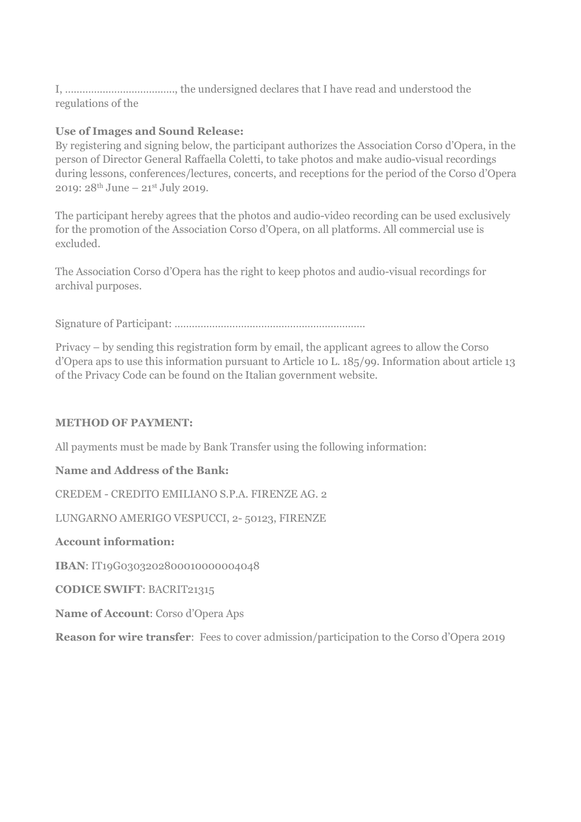I, ……………………………….., the undersigned declares that I have read and understood the regulations of the

## **Use of Images and Sound Release:**

By registering and signing below, the participant authorizes the Association Corso d'Opera, in the person of Director General Raffaella Coletti, to take photos and make audio-visual recordings during lessons, conferences/lectures, concerts, and receptions for the period of the Corso d'Opera 2019: 28th June – 21st July 2019.

The participant hereby agrees that the photos and audio-video recording can be used exclusively for the promotion of the Association Corso d'Opera, on all platforms. All commercial use is excluded.

The Association Corso d'Opera has the right to keep photos and audio-visual recordings for archival purposes.

Signature of Participant: …………………………………………………………

Privacy – by sending this registration form by email, the applicant agrees to allow the Corso d'Opera aps to use this information pursuant to Article 10 L. 185/99. Information about article 13 of the Privacy Code can be found on the Italian government website.

## **METHOD OF PAYMENT:**

All payments must be made by Bank Transfer using the following information:

**Name and Address of the Bank:**

CREDEM - CREDITO EMILIANO S.P.A. FIRENZE AG. 2

LUNGARNO AMERIGO VESPUCCI, 2- 50123, FIRENZE

## **Account information:**

**IBAN**: IT19G0303202800010000004048

**CODICE SWIFT**: BACRIT21315

**Name of Account**: Corso d'Opera Aps

**Reason for wire transfer**: Fees to cover admission/participation to the Corso d'Opera 2019